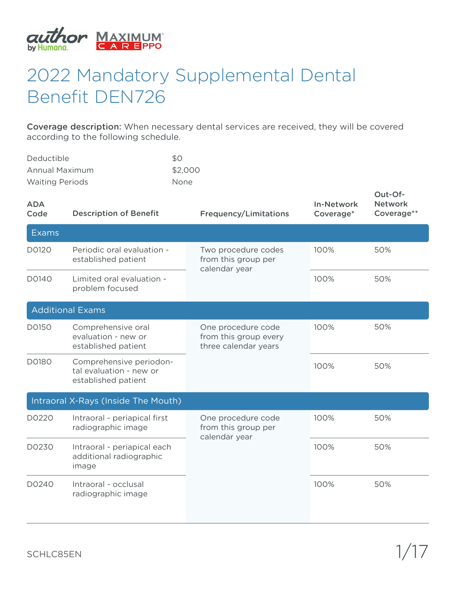

## 2022 Mandatory Supplemental Dental Benefit DEN726

Coverage description: When necessary dental services are received, they will be covered according to the following schedule.

| Deductible             | \$0         |
|------------------------|-------------|
| Annual Maximum         | \$2,000     |
| <b>Waiting Periods</b> | <b>None</b> |

| <b>ADA</b><br>Code | <b>Description of Benefit</b>                                             | <b>Frequency/Limitations</b>                                        | <b>In-Network</b><br>Coverage* | Out-Of-<br><b>Network</b><br>Coverage** |
|--------------------|---------------------------------------------------------------------------|---------------------------------------------------------------------|--------------------------------|-----------------------------------------|
| <b>Exams</b>       |                                                                           |                                                                     |                                |                                         |
| D0120              | Periodic oral evaluation -<br>established patient                         | Two procedure codes<br>from this group per                          | 100%                           | 50%                                     |
| D0140              | Limited oral evaluation -<br>problem focused                              | calendar year                                                       | 100%                           | 50%                                     |
|                    | <b>Additional Exams</b>                                                   |                                                                     |                                |                                         |
| D0150              | Comprehensive oral<br>evaluation - new or<br>established patient          | One procedure code<br>from this group every<br>three calendar years | 100%                           | 50%                                     |
| D0180              | Comprehensive periodon-<br>tal evaluation - new or<br>established patient |                                                                     | 100%                           | 50%                                     |
|                    | Intraoral X-Rays (Inside The Mouth)                                       |                                                                     |                                |                                         |
| D0220              | Intraoral - periapical first<br>radiographic image                        | One procedure code<br>from this group per<br>calendar year          | 100%                           | 50%                                     |
| D0230              | Intraoral - periapical each<br>additional radiographic<br>image           |                                                                     | 100%                           | 50%                                     |
| D0240              | Intraoral - occlusal<br>radiographic image                                |                                                                     | 100%                           | 50%                                     |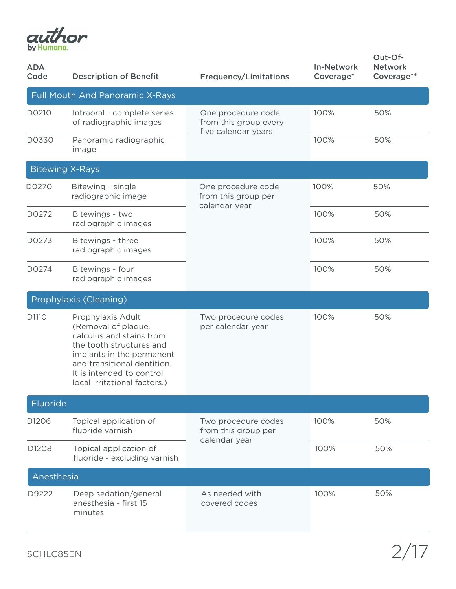

| <b>ADA</b><br>Code | <b>Description of Benefit</b>                                                                                                                                                                                             | <b>Frequency/Limitations</b>                                       | <b>In-Network</b><br>Coverage* | Out-Of-<br><b>Network</b><br>Coverage** |
|--------------------|---------------------------------------------------------------------------------------------------------------------------------------------------------------------------------------------------------------------------|--------------------------------------------------------------------|--------------------------------|-----------------------------------------|
|                    | <b>Full Mouth And Panoramic X-Rays</b>                                                                                                                                                                                    |                                                                    |                                |                                         |
| D0210              | Intraoral - complete series<br>of radiographic images                                                                                                                                                                     | One procedure code<br>from this group every<br>five calendar years | 100%                           | 50%                                     |
| D0330              | Panoramic radiographic<br>image                                                                                                                                                                                           |                                                                    | 100%                           | 50%                                     |
|                    | <b>Bitewing X-Rays</b>                                                                                                                                                                                                    |                                                                    |                                |                                         |
| D0270              | Bitewing - single<br>radiographic image                                                                                                                                                                                   | One procedure code<br>from this group per<br>calendar year         | 100%                           | 50%                                     |
| D0272              | Bitewings - two<br>radiographic images                                                                                                                                                                                    |                                                                    | 100%                           | 50%                                     |
| D0273              | Bitewings - three<br>radiographic images                                                                                                                                                                                  |                                                                    | 100%                           | 50%                                     |
| D0274              | Bitewings - four<br>radiographic images                                                                                                                                                                                   |                                                                    | 100%                           | 50%                                     |
|                    | Prophylaxis (Cleaning)                                                                                                                                                                                                    |                                                                    |                                |                                         |
| D1110              | Prophylaxis Adult<br>(Removal of plaque,<br>calculus and stains from<br>the tooth structures and<br>implants in the permanent<br>and transitional dentition.<br>It is intended to control<br>local irritational factors.) | Two procedure codes<br>per calendar year                           | 100%                           | 50%                                     |
| Fluoride           |                                                                                                                                                                                                                           |                                                                    |                                |                                         |
| D <sub>1206</sub>  | Topical application of<br>fluoride varnish                                                                                                                                                                                | Two procedure codes<br>from this group per                         | 100%                           | 50%                                     |
| D1208              | Topical application of<br>fluoride - excluding varnish                                                                                                                                                                    | calendar year                                                      | 100%                           | 50%                                     |
| Anesthesia         |                                                                                                                                                                                                                           |                                                                    |                                |                                         |
| D9222              | Deep sedation/general<br>anesthesia - first 15<br>minutes                                                                                                                                                                 | As needed with<br>covered codes                                    | 100%                           | 50%                                     |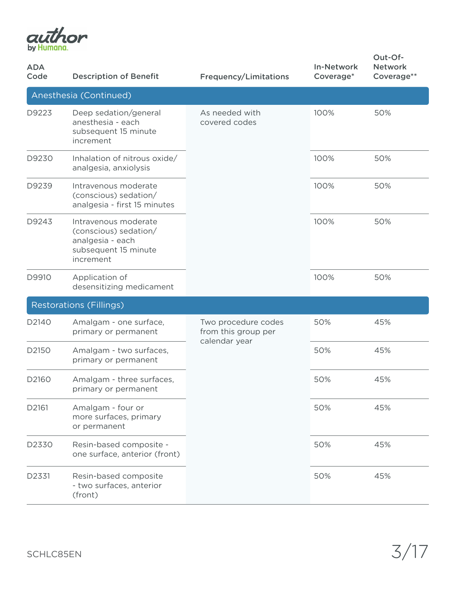

| <b>ADA</b><br>Code | <b>Description of Benefit</b>                                                                          | <b>Frequency/Limitations</b>                                | <b>In-Network</b><br>Coverage* | Out-Of-<br><b>Network</b><br>Coverage** |
|--------------------|--------------------------------------------------------------------------------------------------------|-------------------------------------------------------------|--------------------------------|-----------------------------------------|
|                    | Anesthesia (Continued)                                                                                 |                                                             |                                |                                         |
| D9223              | Deep sedation/general<br>anesthesia - each<br>subsequent 15 minute<br>increment                        | As needed with<br>covered codes                             | 100%                           | 50%                                     |
| D9230              | Inhalation of nitrous oxide/<br>analgesia, anxiolysis                                                  |                                                             | 100%                           | 50%                                     |
| D9239              | Intravenous moderate<br>(conscious) sedation/<br>analgesia - first 15 minutes                          |                                                             | 100%                           | 50%                                     |
| D9243              | Intravenous moderate<br>(conscious) sedation/<br>analgesia - each<br>subsequent 15 minute<br>increment |                                                             | 100%                           | 50%                                     |
| D9910              | Application of<br>desensitizing medicament                                                             |                                                             | 100%                           | 50%                                     |
|                    | <b>Restorations (Fillings)</b>                                                                         |                                                             |                                |                                         |
| D2140              | Amalgam - one surface,<br>primary or permanent                                                         | Two procedure codes<br>from this group per<br>calendar year | 50%                            | 45%                                     |
| D2150              | Amalgam - two surfaces,<br>primary or permanent                                                        |                                                             | 50%                            | 45%                                     |
| D2160              | Amalgam - three surfaces,<br>primary or permanent                                                      |                                                             | 50%                            | 45%                                     |
| D2161              | Amalgam - four or<br>more surfaces, primary<br>or permanent                                            |                                                             | 50%                            | 45%                                     |
| D2330              | Resin-based composite -<br>one surface, anterior (front)                                               |                                                             | 50%                            | 45%                                     |
| D2331              | Resin-based composite<br>- two surfaces, anterior<br>(front)                                           |                                                             | 50%                            | 45%                                     |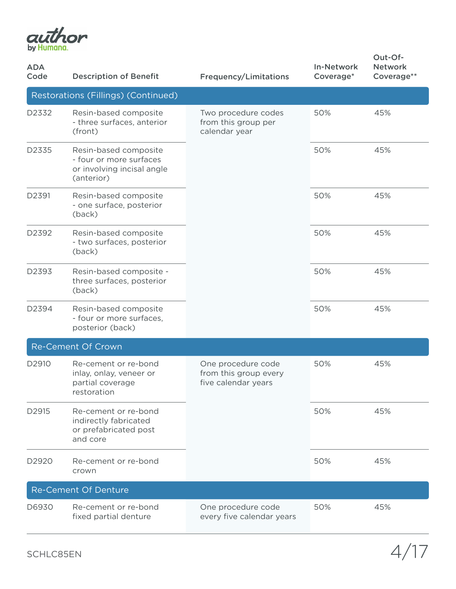

| <b>ADA</b><br>Code | <b>Description of Benefit</b>                                                                | <b>Frequency/Limitations</b>                                       | <b>In-Network</b><br>Coverage* | Out-Of-<br><b>Network</b><br>Coverage** |
|--------------------|----------------------------------------------------------------------------------------------|--------------------------------------------------------------------|--------------------------------|-----------------------------------------|
|                    | Restorations (Fillings) (Continued)                                                          |                                                                    |                                |                                         |
| D2332              | Resin-based composite<br>- three surfaces, anterior<br>(front)                               | Two procedure codes<br>from this group per<br>calendar year        | 50%                            | 45%                                     |
| D2335              | Resin-based composite<br>- four or more surfaces<br>or involving incisal angle<br>(anterior) |                                                                    | 50%                            | 45%                                     |
| D2391              | Resin-based composite<br>- one surface, posterior<br>(back)                                  |                                                                    | 50%                            | 45%                                     |
| D2392              | Resin-based composite<br>- two surfaces, posterior<br>(back)                                 |                                                                    | 50%                            | 45%                                     |
| D2393              | Resin-based composite -<br>three surfaces, posterior<br>(back)                               |                                                                    | 50%                            | 45%                                     |
| D2394              | Resin-based composite<br>- four or more surfaces,<br>posterior (back)                        |                                                                    | 50%                            | 45%                                     |
|                    | <b>Re-Cement Of Crown</b>                                                                    |                                                                    |                                |                                         |
| D2910              | Re-cement or re-bond<br>inlay, onlay, veneer or<br>partial coverage<br>restoration           | One procedure code<br>from this group every<br>five calendar years | 50%                            | 45%                                     |
| D2915              | Re-cement or re-bond<br>indirectly fabricated<br>or prefabricated post<br>and core           |                                                                    | 50%                            | 45%                                     |
| D2920              | Re-cement or re-bond<br>crown                                                                |                                                                    | 50%                            | 45%                                     |
|                    | <b>Re-Cement Of Denture</b>                                                                  |                                                                    |                                |                                         |
| D6930              | Re-cement or re-bond<br>fixed partial denture                                                | One procedure code<br>every five calendar years                    | 50%                            | 45%                                     |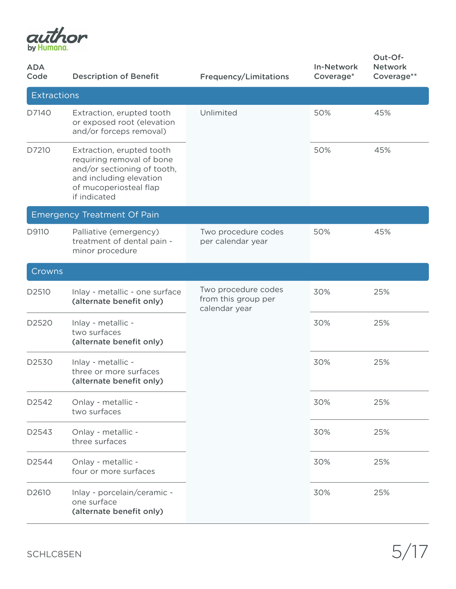

| <b>ADA</b><br>Code | <b>Description of Benefit</b>                                                                                                                              | <b>Frequency/Limitations</b>                                | <b>In-Network</b><br>Coverage* | Out-Of-<br><b>Network</b><br>Coverage** |
|--------------------|------------------------------------------------------------------------------------------------------------------------------------------------------------|-------------------------------------------------------------|--------------------------------|-----------------------------------------|
| <b>Extractions</b> |                                                                                                                                                            |                                                             |                                |                                         |
| D7140              | Extraction, erupted tooth<br>or exposed root (elevation<br>and/or forceps removal)                                                                         | Unlimited                                                   | 50%                            | 45%                                     |
| D7210              | Extraction, erupted tooth<br>requiring removal of bone<br>and/or sectioning of tooth,<br>and including elevation<br>of mucoperiosteal flap<br>if indicated |                                                             | 50%                            | 45%                                     |
|                    | <b>Emergency Treatment Of Pain</b>                                                                                                                         |                                                             |                                |                                         |
| D9110              | Palliative (emergency)<br>treatment of dental pain -<br>minor procedure                                                                                    | Two procedure codes<br>per calendar year                    | 50%                            | 45%                                     |
| Crowns             |                                                                                                                                                            |                                                             |                                |                                         |
| D2510              | Inlay - metallic - one surface<br>(alternate benefit only)                                                                                                 | Two procedure codes<br>from this group per<br>calendar year | 30%                            | 25%                                     |
| D2520              | Inlay - metallic -<br>two surfaces<br>(alternate benefit only)                                                                                             |                                                             | 30%                            | 25%                                     |
| D2530              | Inlay - metallic -<br>three or more surfaces<br>(alternate benefit only)                                                                                   |                                                             | 30%                            | 25%                                     |
| D2542              | Onlay - metallic -<br>two surfaces                                                                                                                         |                                                             | 30%                            | 25%                                     |
| D2543              | Onlay - metallic -<br>three surfaces                                                                                                                       |                                                             | 30%                            | 25%                                     |
| D2544              | Onlay - metallic -<br>four or more surfaces                                                                                                                |                                                             | 30%                            | 25%                                     |
| D2610              | Inlay - porcelain/ceramic -<br>one surface<br>(alternate benefit only)                                                                                     |                                                             | 30%                            | 25%                                     |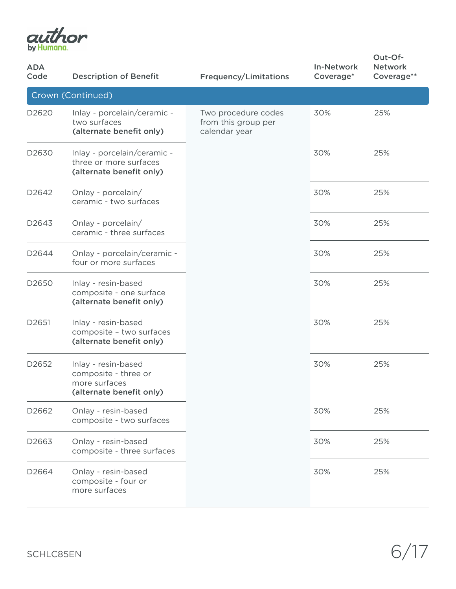

| <b>ADA</b><br>Code | <b>Description of Benefit</b>                                                            | <b>Frequency/Limitations</b>                                | <b>In-Network</b><br>Coverage* | Out-Of-<br><b>Network</b><br>Coverage** |
|--------------------|------------------------------------------------------------------------------------------|-------------------------------------------------------------|--------------------------------|-----------------------------------------|
|                    | Crown (Continued)                                                                        |                                                             |                                |                                         |
| D2620              | Inlay - porcelain/ceramic -<br>two surfaces<br>(alternate benefit only)                  | Two procedure codes<br>from this group per<br>calendar year | 30%                            | 25%                                     |
| D2630              | Inlay - porcelain/ceramic -<br>three or more surfaces<br>(alternate benefit only)        |                                                             | 30%                            | 25%                                     |
| D <sub>2642</sub>  | Onlay - porcelain/<br>ceramic - two surfaces                                             |                                                             | 30%                            | 25%                                     |
| D2643              | Onlay - porcelain/<br>ceramic - three surfaces                                           |                                                             | 30%                            | 25%                                     |
| D2644              | Onlay - porcelain/ceramic -<br>four or more surfaces                                     |                                                             | 30%                            | 25%                                     |
| D2650              | Inlay - resin-based<br>composite - one surface<br>(alternate benefit only)               |                                                             | 30%                            | 25%                                     |
| D2651              | Inlay - resin-based<br>composite - two surfaces<br>(alternate benefit only)              |                                                             | 30%                            | 25%                                     |
| D2652              | Inlay - resin-based<br>composite - three or<br>more surfaces<br>(alternate benefit only) |                                                             | 30%                            | 25%                                     |
| D2662              | Onlay - resin-based<br>composite - two surfaces                                          |                                                             | 30%                            | 25%                                     |
| D2663              | Onlay - resin-based<br>composite - three surfaces                                        |                                                             | 30%                            | 25%                                     |
| D2664              | Onlay - resin-based<br>composite - four or<br>more surfaces                              |                                                             | 30%                            | 25%                                     |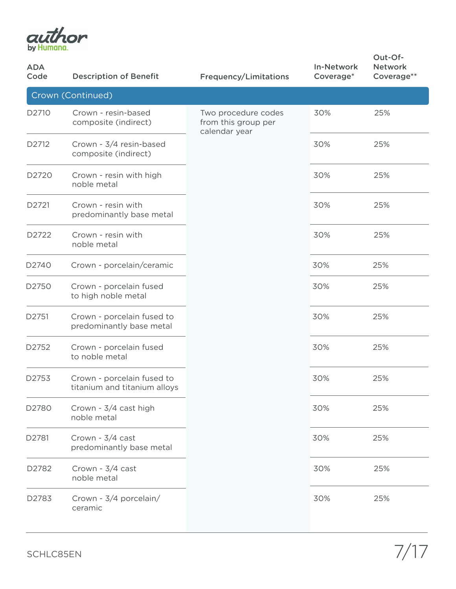

| <b>ADA</b><br>Code | <b>Description of Benefit</b>                              | <b>Frequency/Limitations</b>                                | <b>In-Network</b><br>Coverage* | Out-Of-<br><b>Network</b><br>Coverage** |
|--------------------|------------------------------------------------------------|-------------------------------------------------------------|--------------------------------|-----------------------------------------|
|                    | Crown (Continued)                                          |                                                             |                                |                                         |
| D2710              | Crown - resin-based<br>composite (indirect)                | Two procedure codes<br>from this group per<br>calendar year | 30%                            | 25%                                     |
| D2712              | Crown - 3/4 resin-based<br>composite (indirect)            |                                                             | 30%                            | 25%                                     |
| D2720              | Crown - resin with high<br>noble metal                     |                                                             | 30%                            | 25%                                     |
| D2721              | Crown - resin with<br>predominantly base metal             |                                                             | 30%                            | 25%                                     |
| D2722              | Crown - resin with<br>noble metal                          |                                                             | 30%                            | 25%                                     |
| D2740              | Crown - porcelain/ceramic                                  |                                                             | 30%                            | 25%                                     |
| D2750              | Crown - porcelain fused<br>to high noble metal             |                                                             | 30%                            | 25%                                     |
| D2751              | Crown - porcelain fused to<br>predominantly base metal     |                                                             | 30%                            | 25%                                     |
| D2752              | Crown - porcelain fused<br>to noble metal                  |                                                             | 30%                            | 25%                                     |
| D2753              | Crown - porcelain fused to<br>titanium and titanium alloys |                                                             | 30%                            | 25%                                     |
| D2780              | Crown - 3/4 cast high<br>noble metal                       |                                                             | 30%                            | 25%                                     |
| D2781              | Crown - 3/4 cast<br>predominantly base metal               |                                                             | 30%                            | 25%                                     |
| D2782              | Crown - 3/4 cast<br>noble metal                            |                                                             | 30%                            | 25%                                     |
| D2783              | Crown - 3/4 porcelain/<br>ceramic                          |                                                             | 30%                            | 25%                                     |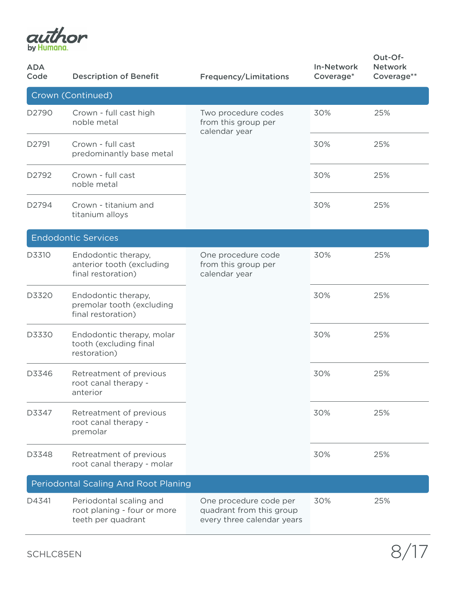

| <b>ADA</b><br>Code | <b>Description of Benefit</b>                                                | <b>Frequency/Limitations</b>                                                     | <b>In-Network</b><br>Coverage* | Out-Of-<br><b>Network</b><br>Coverage** |
|--------------------|------------------------------------------------------------------------------|----------------------------------------------------------------------------------|--------------------------------|-----------------------------------------|
|                    | Crown (Continued)                                                            |                                                                                  |                                |                                         |
| D2790              | Crown - full cast high<br>noble metal                                        | Two procedure codes<br>from this group per<br>calendar year                      | 30%                            | 25%                                     |
| D2791              | Crown - full cast<br>predominantly base metal                                |                                                                                  | 30%                            | 25%                                     |
| D2792              | Crown - full cast<br>noble metal                                             |                                                                                  | 30%                            | 25%                                     |
| D2794              | Crown - titanium and<br>titanium alloys                                      |                                                                                  | 30%                            | 25%                                     |
|                    | <b>Endodontic Services</b>                                                   |                                                                                  |                                |                                         |
| D3310              | Endodontic therapy,<br>anterior tooth (excluding<br>final restoration)       | One procedure code<br>from this group per<br>calendar year                       | 30%                            | 25%                                     |
| D3320              | Endodontic therapy,<br>premolar tooth (excluding<br>final restoration)       |                                                                                  | 30%                            | 25%                                     |
| D3330              | Endodontic therapy, molar<br>tooth (excluding final<br>restoration)          |                                                                                  | 30%                            | 25%                                     |
| D3346              | Retreatment of previous<br>root canal therapy -<br>anterior                  |                                                                                  | 30%                            | 25%                                     |
| D3347              | Retreatment of previous<br>root canal therapy -<br>premolar                  |                                                                                  | 30%                            | 25%                                     |
| D3348              | Retreatment of previous<br>root canal therapy - molar                        |                                                                                  | 30%                            | 25%                                     |
|                    | Periodontal Scaling And Root Planing                                         |                                                                                  |                                |                                         |
| D4341              | Periodontal scaling and<br>root planing - four or more<br>teeth per quadrant | One procedure code per<br>quadrant from this group<br>every three calendar years | 30%                            | 25%                                     |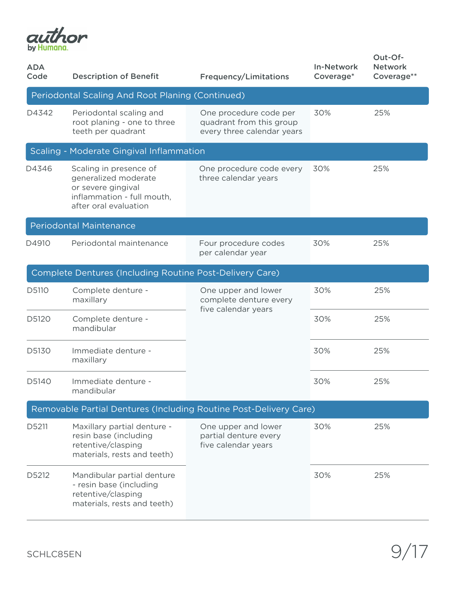

| <b>ADA</b><br>Code | <b>Description of Benefit</b>                                                                                               | <b>Frequency/Limitations</b>                                                     | <b>In-Network</b><br>Coverage* | Out-Of-<br><b>Network</b><br>Coverage** |
|--------------------|-----------------------------------------------------------------------------------------------------------------------------|----------------------------------------------------------------------------------|--------------------------------|-----------------------------------------|
|                    | Periodontal Scaling And Root Planing (Continued)                                                                            |                                                                                  |                                |                                         |
| D4342              | Periodontal scaling and<br>root planing - one to three<br>teeth per quadrant                                                | One procedure code per<br>quadrant from this group<br>every three calendar years | 30%                            | 25%                                     |
|                    | Scaling - Moderate Gingival Inflammation                                                                                    |                                                                                  |                                |                                         |
| D4346              | Scaling in presence of<br>generalized moderate<br>or severe gingival<br>inflammation - full mouth,<br>after oral evaluation | One procedure code every<br>three calendar years                                 | 30%                            | 25%                                     |
|                    | <b>Periodontal Maintenance</b>                                                                                              |                                                                                  |                                |                                         |
| D4910              | Periodontal maintenance                                                                                                     | Four procedure codes<br>per calendar year                                        | 30%                            | 25%                                     |
|                    | Complete Dentures (Including Routine Post-Delivery Care)                                                                    |                                                                                  |                                |                                         |
| D5110              | Complete denture -<br>maxillary                                                                                             | One upper and lower<br>complete denture every<br>five calendar years             | 30%                            | 25%                                     |
| D5120              | Complete denture -<br>mandibular                                                                                            |                                                                                  | 30%                            | 25%                                     |
| D5130              | Immediate denture -<br>maxillary                                                                                            |                                                                                  | 30%                            | 25%                                     |
| D5140              | Immediate denture -<br>mandibular                                                                                           |                                                                                  | 30%                            | 25%                                     |
|                    | Removable Partial Dentures (Including Routine Post-Delivery Care)                                                           |                                                                                  |                                |                                         |
| D5211              | Maxillary partial denture -<br>resin base (including<br>retentive/clasping<br>materials, rests and teeth)                   | One upper and lower<br>partial denture every<br>five calendar years              | 30%                            | 25%                                     |
| D5212              | Mandibular partial denture<br>- resin base (including<br>retentive/clasping<br>materials, rests and teeth)                  |                                                                                  | 30%                            | 25%                                     |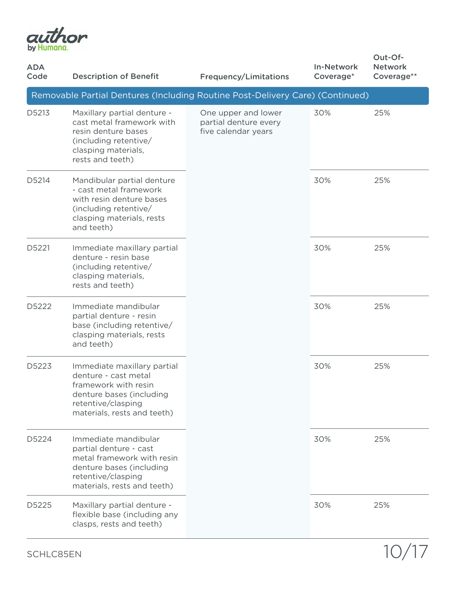

| <b>ADA</b><br>Code | <b>Description of Benefit</b>                                                                                                                                 | <b>Frequency/Limitations</b>                                        | <b>In-Network</b><br>Coverage* | Out-Of-<br><b>Network</b><br>Coverage** |
|--------------------|---------------------------------------------------------------------------------------------------------------------------------------------------------------|---------------------------------------------------------------------|--------------------------------|-----------------------------------------|
|                    | Removable Partial Dentures (Including Routine Post-Delivery Care) (Continued)                                                                                 |                                                                     |                                |                                         |
| D5213              | Maxillary partial denture -<br>cast metal framework with<br>resin denture bases<br>(including retentive/<br>clasping materials,<br>rests and teeth)           | One upper and lower<br>partial denture every<br>five calendar years | 30%                            | 25%                                     |
| D5214              | Mandibular partial denture<br>- cast metal framework<br>with resin denture bases<br>(including retentive/<br>clasping materials, rests<br>and teeth)          |                                                                     | 30%                            | 25%                                     |
| D5221              | Immediate maxillary partial<br>denture - resin base<br>(including retentive/<br>clasping materials,<br>rests and teeth)                                       |                                                                     | 30%                            | 25%                                     |
| D5222              | Immediate mandibular<br>partial denture - resin<br>base (including retentive/<br>clasping materials, rests<br>and teeth)                                      |                                                                     | 30%                            | 25%                                     |
| D5223              | Immediate maxillary partial<br>denture - cast metal<br>framework with resin<br>denture bases (including<br>retentive/clasping<br>materials, rests and teeth)  |                                                                     | 30%                            | 25%                                     |
| D5224              | Immediate mandibular<br>partial denture - cast<br>metal framework with resin<br>denture bases (including<br>retentive/clasping<br>materials, rests and teeth) |                                                                     | 30%                            | 25%                                     |
| D5225              | Maxillary partial denture -<br>flexible base (including any<br>clasps, rests and teeth)                                                                       |                                                                     | 30%                            | 25%                                     |

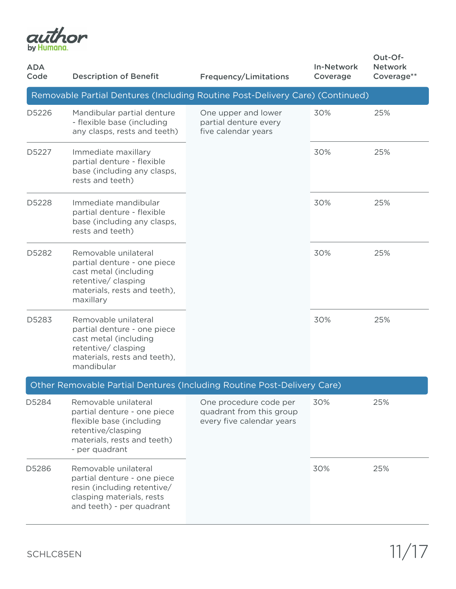

| <b>ADA</b><br>Code | <b>Description of Benefit</b>                                                                                                                          | <b>Frequency/Limitations</b>                                                    | <b>In-Network</b><br>Coverage | Out-Of-<br><b>Network</b><br>Coverage** |
|--------------------|--------------------------------------------------------------------------------------------------------------------------------------------------------|---------------------------------------------------------------------------------|-------------------------------|-----------------------------------------|
|                    | Removable Partial Dentures (Including Routine Post-Delivery Care) (Continued)                                                                          |                                                                                 |                               |                                         |
| D5226              | Mandibular partial denture<br>- flexible base (including<br>any clasps, rests and teeth)                                                               | One upper and lower<br>partial denture every<br>five calendar years             | 30%                           | 25%                                     |
| D5227              | Immediate maxillary<br>partial denture - flexible<br>base (including any clasps,<br>rests and teeth)                                                   |                                                                                 | 30%                           | 25%                                     |
| D5228              | Immediate mandibular<br>partial denture - flexible<br>base (including any clasps,<br>rests and teeth)                                                  |                                                                                 | 30%                           | 25%                                     |
| D5282              | Removable unilateral<br>partial denture - one piece<br>cast metal (including<br>retentive/ clasping<br>materials, rests and teeth),<br>maxillary       |                                                                                 | 30%                           | 25%                                     |
| D5283              | Removable unilateral<br>partial denture - one piece<br>cast metal (including<br>retentive/ clasping<br>materials, rests and teeth),<br>mandibular      |                                                                                 | 30%                           | 25%                                     |
|                    | Other Removable Partial Dentures (Including Routine Post-Delivery Care)                                                                                |                                                                                 |                               |                                         |
| D5284              | Removable unilateral<br>partial denture - one piece<br>flexible base (including<br>retentive/clasping<br>materials, rests and teeth)<br>- per quadrant | One procedure code per<br>quadrant from this group<br>every five calendar years | 30%                           | 25%                                     |
| D5286              | Removable unilateral<br>partial denture - one piece<br>resin (including retentive/<br>clasping materials, rests<br>and teeth) - per quadrant           |                                                                                 | 30%                           | 25%                                     |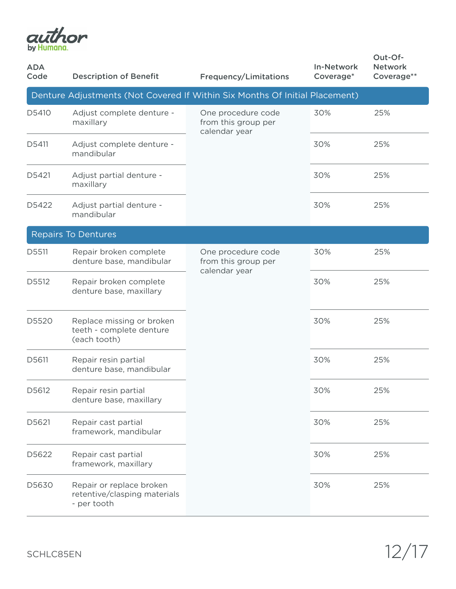

| <b>ADA</b><br>Code | <b>Description of Benefit</b>                                               | <b>Frequency/Limitations</b>                               | <b>In-Network</b><br>Coverage* | Out-Of-<br><b>Network</b><br>Coverage** |
|--------------------|-----------------------------------------------------------------------------|------------------------------------------------------------|--------------------------------|-----------------------------------------|
|                    | Denture Adjustments (Not Covered If Within Six Months Of Initial Placement) |                                                            |                                |                                         |
| D5410              | Adjust complete denture -<br>maxillary                                      | One procedure code<br>from this group per<br>calendar year | 30%                            | 25%                                     |
| D5411              | Adjust complete denture -<br>mandibular                                     |                                                            | 30%                            | 25%                                     |
| D5421              | Adjust partial denture -<br>maxillary                                       |                                                            | 30%                            | 25%                                     |
| D5422              | Adjust partial denture -<br>mandibular                                      |                                                            | 30%                            | 25%                                     |
|                    | Repairs To Dentures                                                         |                                                            |                                |                                         |
| D5511              | Repair broken complete<br>denture base, mandibular                          | One procedure code<br>from this group per<br>calendar year | 30%                            | 25%                                     |
| D5512              | Repair broken complete<br>denture base, maxillary                           |                                                            | 30%                            | 25%                                     |
| D5520              | Replace missing or broken<br>teeth - complete denture<br>(each tooth)       |                                                            | 30%                            | 25%                                     |
| D5611              | Repair resin partial<br>denture base, mandibular                            |                                                            | 30%                            | 25%                                     |
| D5612              | Repair resin partial<br>denture base, maxillary                             |                                                            | 30%                            | 25%                                     |
| D5621              | Repair cast partial<br>framework, mandibular                                |                                                            | 30%                            | 25%                                     |
| D5622              | Repair cast partial<br>framework, maxillary                                 |                                                            | 30%                            | 25%                                     |
| D5630              | Repair or replace broken<br>retentive/clasping materials<br>- per tooth     |                                                            | 30%                            | 25%                                     |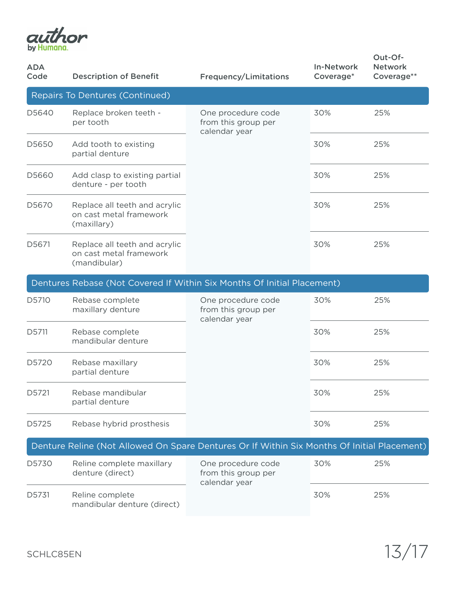

| <b>ADA</b><br>Code | <b>Description of Benefit</b>                                                               | <b>Frequency/Limitations</b>                               | <b>In-Network</b><br>Coverage* | Out-Of-<br><b>Network</b><br>Coverage** |
|--------------------|---------------------------------------------------------------------------------------------|------------------------------------------------------------|--------------------------------|-----------------------------------------|
|                    | Repairs To Dentures (Continued)                                                             |                                                            |                                |                                         |
| D5640              | Replace broken teeth -<br>per tooth                                                         | One procedure code<br>from this group per<br>calendar year | 30%                            | 25%                                     |
| D5650              | Add tooth to existing<br>partial denture                                                    |                                                            | 30%                            | 25%                                     |
| D5660              | Add clasp to existing partial<br>denture - per tooth                                        |                                                            | 30%                            | 25%                                     |
| D5670              | Replace all teeth and acrylic<br>on cast metal framework<br>(maxillary)                     |                                                            | 30%                            | 25%                                     |
| D5671              | Replace all teeth and acrylic<br>on cast metal framework<br>(mandibular)                    |                                                            | 30%                            | 25%                                     |
|                    | Dentures Rebase (Not Covered If Within Six Months Of Initial Placement)                     |                                                            |                                |                                         |
| D5710              | Rebase complete<br>maxillary denture                                                        | One procedure code<br>from this group per<br>calendar year | 30%                            | 25%                                     |
| D5711              | Rebase complete<br>mandibular denture                                                       |                                                            | 30%                            | 25%                                     |
| D5720              | Rebase maxillary<br>partial denture                                                         |                                                            | 30%                            | 25%                                     |
| D5721              | Rebase mandibular<br>partial denture                                                        |                                                            | 30%                            | 25%                                     |
| D5725              | Rebase hybrid prosthesis                                                                    |                                                            | 30%                            | 25%                                     |
|                    | Denture Reline (Not Allowed On Spare Dentures Or If Within Six Months Of Initial Placement) |                                                            |                                |                                         |
| D5730              | Reline complete maxillary<br>denture (direct)                                               | One procedure code<br>from this group per<br>calendar year | 30%                            | 25%                                     |
| D5731              | Reline complete<br>mandibular denture (direct)                                              |                                                            | 30%                            | 25%                                     |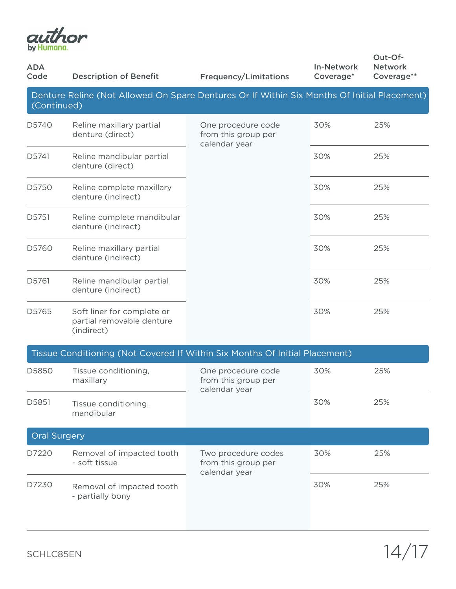

| <b>ADA</b><br>Code  | <b>Description of Benefit</b>                                                               | <b>Frequency/Limitations</b>                                | <b>In-Network</b><br>Coverage* | Out-Of-<br><b>Network</b><br>Coverage** |
|---------------------|---------------------------------------------------------------------------------------------|-------------------------------------------------------------|--------------------------------|-----------------------------------------|
| (Continued)         | Denture Reline (Not Allowed On Spare Dentures Or If Within Six Months Of Initial Placement) |                                                             |                                |                                         |
| D5740               | Reline maxillary partial<br>denture (direct)                                                | One procedure code<br>from this group per<br>calendar year  | 30%                            | 25%                                     |
| D5741               | Reline mandibular partial<br>denture (direct)                                               |                                                             | 30%                            | 25%                                     |
| D5750               | Reline complete maxillary<br>denture (indirect)                                             |                                                             | 30%                            | 25%                                     |
| D5751               | Reline complete mandibular<br>denture (indirect)                                            |                                                             | 30%                            | 25%                                     |
| D5760               | Reline maxillary partial<br>denture (indirect)                                              |                                                             | 30%                            | 25%                                     |
| D5761               | Reline mandibular partial<br>denture (indirect)                                             |                                                             | 30%                            | 25%                                     |
| D5765               | Soft liner for complete or<br>partial removable denture<br>(indirect)                       |                                                             | 30%                            | 25%                                     |
|                     | Tissue Conditioning (Not Covered If Within Six Months Of Initial Placement)                 |                                                             |                                |                                         |
| D5850               | Tissue conditioning,<br>maxillary                                                           | One procedure code<br>from this group per<br>calendar year  | 30%                            | 25%                                     |
| D5851               | Tissue conditioning,<br>mandibular                                                          |                                                             | 30%                            | 25%                                     |
| <b>Oral Surgery</b> |                                                                                             |                                                             |                                |                                         |
| D7220               | Removal of impacted tooth<br>- soft tissue                                                  | Two procedure codes<br>from this group per<br>calendar year | 30%                            | 25%                                     |
| D7230               | Removal of impacted tooth<br>- partially bony                                               |                                                             | 30%                            | 25%                                     |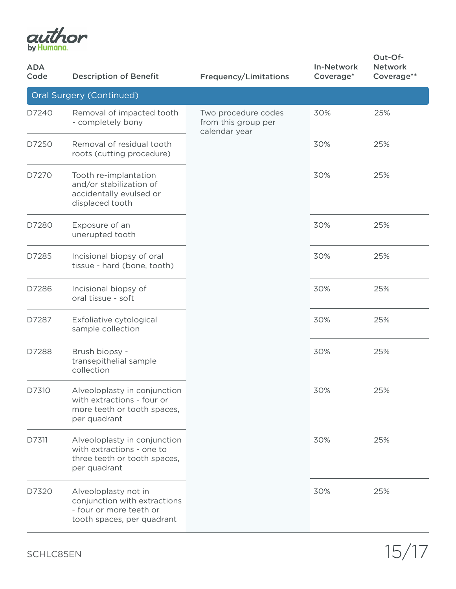

| <b>ADA</b><br>Code | <b>Description of Benefit</b>                                                                                 | <b>Frequency/Limitations</b>                                | <b>In-Network</b><br>Coverage* | Out-Of-<br><b>Network</b><br>Coverage** |
|--------------------|---------------------------------------------------------------------------------------------------------------|-------------------------------------------------------------|--------------------------------|-----------------------------------------|
|                    | Oral Surgery (Continued)                                                                                      |                                                             |                                |                                         |
| D7240              | Removal of impacted tooth<br>- completely bony                                                                | Two procedure codes<br>from this group per<br>calendar year | 30%                            | 25%                                     |
| D7250              | Removal of residual tooth<br>roots (cutting procedure)                                                        |                                                             | 30%                            | 25%                                     |
| D7270              | Tooth re-implantation<br>and/or stabilization of<br>accidentally evulsed or<br>displaced tooth                |                                                             | 30%                            | 25%                                     |
| D7280              | Exposure of an<br>unerupted tooth                                                                             |                                                             | 30%                            | 25%                                     |
| D7285              | Incisional biopsy of oral<br>tissue - hard (bone, tooth)                                                      |                                                             | 30%                            | 25%                                     |
| D7286              | Incisional biopsy of<br>oral tissue - soft                                                                    |                                                             | 30%                            | 25%                                     |
| D7287              | Exfoliative cytological<br>sample collection                                                                  |                                                             | 30%                            | 25%                                     |
| D7288              | Brush biopsy -<br>transepithelial sample<br>collection                                                        |                                                             | 30%                            | 25%                                     |
| D7310              | Alveoloplasty in conjunction<br>with extractions - four or<br>more teeth or tooth spaces,<br>per quadrant     |                                                             | 30%                            | 25%                                     |
| D7311              | Alveoloplasty in conjunction<br>with extractions - one to<br>three teeth or tooth spaces,<br>per quadrant     |                                                             | 30%                            | 25%                                     |
| D7320              | Alveoloplasty not in<br>conjunction with extractions<br>- four or more teeth or<br>tooth spaces, per quadrant |                                                             | 30%                            | 25%                                     |

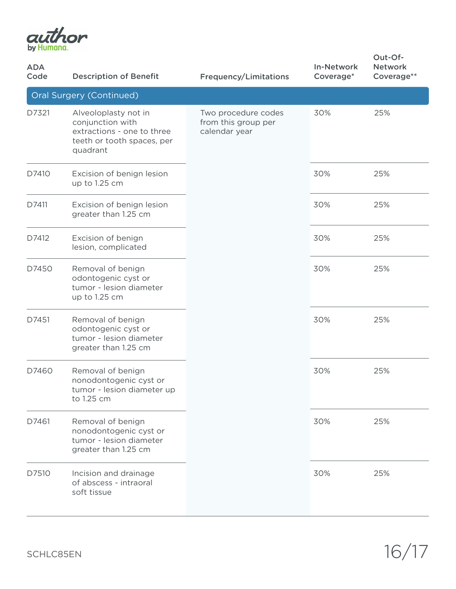

| <b>ADA</b><br>Code       | <b>Description of Benefit</b>                                                                                    | <b>Frequency/Limitations</b>                                | <b>In-Network</b><br>Coverage* | Out-Of-<br><b>Network</b><br>Coverage** |  |  |
|--------------------------|------------------------------------------------------------------------------------------------------------------|-------------------------------------------------------------|--------------------------------|-----------------------------------------|--|--|
| Oral Surgery (Continued) |                                                                                                                  |                                                             |                                |                                         |  |  |
| D7321                    | Alveoloplasty not in<br>conjunction with<br>extractions - one to three<br>teeth or tooth spaces, per<br>quadrant | Two procedure codes<br>from this group per<br>calendar year | 30%                            | 25%                                     |  |  |
| D7410                    | Excision of benign lesion<br>up to 1.25 cm                                                                       |                                                             | 30%                            | 25%                                     |  |  |
| D7411                    | Excision of benign lesion<br>greater than 1.25 cm                                                                |                                                             | 30%                            | 25%                                     |  |  |
| D7412                    | Excision of benign<br>lesion, complicated                                                                        |                                                             | 30%                            | 25%                                     |  |  |
| D7450                    | Removal of benign<br>odontogenic cyst or<br>tumor - lesion diameter<br>up to 1.25 cm                             |                                                             | 30%                            | 25%                                     |  |  |
| D7451                    | Removal of benign<br>odontogenic cyst or<br>tumor - lesion diameter<br>greater than 1.25 cm                      |                                                             | 30%                            | 25%                                     |  |  |
| D7460                    | Removal of benign<br>nonodontogenic cyst or<br>tumor - lesion diameter up<br>to 1.25 cm                          |                                                             | 30%                            | 25%                                     |  |  |
| D7461                    | Removal of benign<br>nonodontogenic cyst or<br>tumor - lesion diameter<br>greater than 1.25 cm                   |                                                             | 30%                            | 25%                                     |  |  |
| D7510                    | Incision and drainage<br>of abscess - intraoral<br>soft tissue                                                   |                                                             | 30%                            | 25%                                     |  |  |